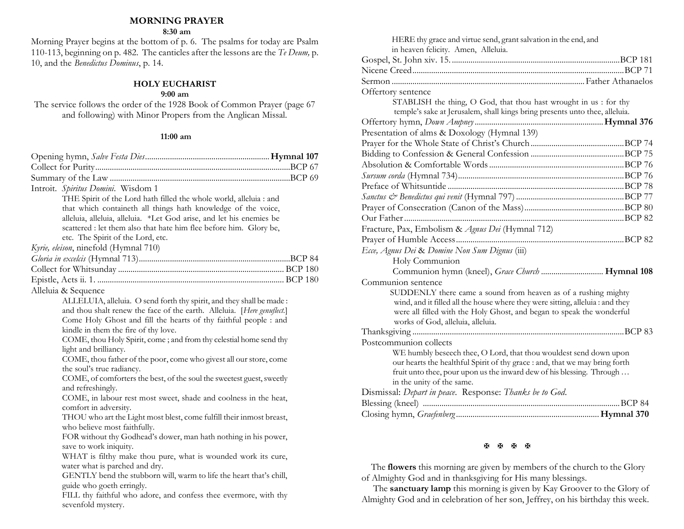### **MORNING PRAYER**

#### **8:30 am**

Morning Prayer begins at the bottom of p. 6. The psalms for today are Psalm 110-113, beginning on p. 482. The canticles after the lessons are the *Te Deum,* p. 10, and the *Benedictus Dominus*, p. 14.

## **HOLY EUCHARIST**

## **9:00 am**

The service follows the order of the 1928 Book of Common Prayer (page 67 and following) with Minor Propers from the Anglican Missal.

#### **11:00 am**

| Introit. Spiritus Domini. Wisdom 1                                                              |  |
|-------------------------------------------------------------------------------------------------|--|
| THE Spirit of the Lord hath filled the whole world, alleluia : and                              |  |
| that which containeth all things hath knowledge of the voice,                                   |  |
| alleluia, alleluia, alleluia. *Let God arise, and let his enemies be                            |  |
| scattered : let them also that hate him flee before him. Glory be,                              |  |
| etc. The Spirit of the Lord, etc.                                                               |  |
| Kyrie, eleison, ninefold (Hymnal 710)                                                           |  |
|                                                                                                 |  |
|                                                                                                 |  |
|                                                                                                 |  |
| Alleluia & Sequence                                                                             |  |
| ALLELUIA, alleluia. O send forth thy spirit, and they shall be made:                            |  |
| and thou shalt renew the face of the earth. Alleluia. [Here genuflect.]                         |  |
| Come Holy Ghost and fill the hearts of thy faithful people : and                                |  |
| kindle in them the fire of thy love.                                                            |  |
| COME, thou Holy Spirit, come ; and from thy celestial home send thy                             |  |
| light and brilliancy.                                                                           |  |
| COME, thou father of the poor, come who givest all our store, come<br>the soul's true radiancy. |  |
| COME, of comforters the best, of the soul the sweetest guest, sweetly                           |  |
| and refreshingly.                                                                               |  |
| COME, in labour rest most sweet, shade and coolness in the heat,                                |  |
| comfort in adversity.                                                                           |  |
| THOU who art the Light most blest, come fulfill their inmost breast,                            |  |
| who believe most faithfully.                                                                    |  |
| FOR without thy Godhead's dower, man hath nothing in his power,                                 |  |
| save to work iniquity.                                                                          |  |
| WHAT is filthy make thou pure, what is wounded work its cure,                                   |  |
| water what is parched and dry.                                                                  |  |
| GENTLY bend the stubborn will, warm to life the heart that's chill,                             |  |
| guide who goeth erringly.                                                                       |  |
| FILL thy faithful who adore, and confess thee evermore, with thy                                |  |
| sevenfold mystery.                                                                              |  |

| HERE thy grace and virtue send, grant salvation in the end, and                |
|--------------------------------------------------------------------------------|
| in heaven felicity. Amen, Alleluia.                                            |
|                                                                                |
|                                                                                |
|                                                                                |
| Offertory sentence                                                             |
| STABLISH the thing, O God, that thou hast wrought in us : for thy              |
| temple's sake at Jerusalem, shall kings bring presents unto thee, alleluia.    |
|                                                                                |
| Presentation of alms & Doxology (Hymnal 139)                                   |
|                                                                                |
|                                                                                |
|                                                                                |
|                                                                                |
|                                                                                |
|                                                                                |
|                                                                                |
|                                                                                |
| Fracture, Pax, Embolism & Agnus Dei (Hymnal 712)                               |
|                                                                                |
| Ecce, Agnus Dei & Domine Non Sum Dignus (iii)                                  |
| Holy Communion                                                                 |
| Communion hymn (kneel), Grace Church  Hymnal 108                               |
| Communion sentence                                                             |
| SUDDENLY there came a sound from heaven as of a rushing mighty                 |
| wind, and it filled all the house where they were sitting, alleluia : and they |
| were all filled with the Holy Ghost, and began to speak the wonderful          |
| works of God, alleluia, alleluia.                                              |
|                                                                                |
| Postcommunion collects                                                         |
| WE humbly beseech thee, O Lord, that thou wouldest send down upon              |
| our hearts the healthful Spirit of thy grace : and, that we may bring forth    |
| fruit unto thee, pour upon us the inward dew of his blessing. Through          |
| in the unity of the same.                                                      |
| Dismissal: Depart in peace. Response: Thanks be to God.                        |
|                                                                                |
|                                                                                |

#### **A A A A**

 The **flowers** this morning are given by members of the church to the Glory of Almighty God and in thanksgiving for His many blessings.

The **sanctuary lamp** this morning is given by Kay Groover to the Glory of Almighty God and in celebration of her son, Jeffrey, on his birthday this week.